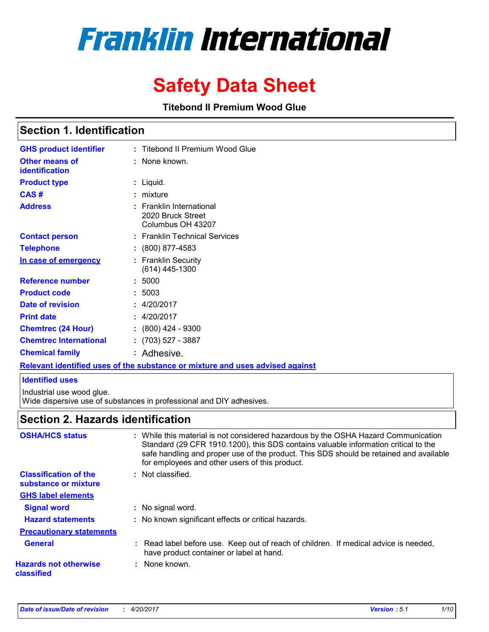# **Franklin International**

# **Safety Data Sheet**

**Titebond II Premium Wood Glue**

## **Section 1. Identification**

| <b>GHS product identifier</b>                  | Titebond II Premium Wood Glue                                      |  |
|------------------------------------------------|--------------------------------------------------------------------|--|
| <b>Other means of</b><br><b>identification</b> | : None known.                                                      |  |
| <b>Product type</b>                            | $:$ Liquid.                                                        |  |
| CAS#                                           | $:$ mixture                                                        |  |
| <b>Address</b>                                 | : Franklin International<br>2020 Bruck Street<br>Columbus OH 43207 |  |
| <b>Contact person</b>                          | : Franklin Technical Services                                      |  |
| <b>Telephone</b>                               | $: (800) 877 - 4583$                                               |  |
| In case of emergency                           | <b>Franklin Security</b><br>$(614)$ 445-1300                       |  |
| <b>Reference number</b>                        | : 5000                                                             |  |
| <b>Product code</b>                            | 5003                                                               |  |
| Date of revision                               | : 4/20/2017                                                        |  |
| <b>Print date</b>                              | : 4/20/2017                                                        |  |
| <b>Chemtrec (24 Hour)</b>                      | $: (800)$ 424 - 9300                                               |  |
| <b>Chemtrec International</b>                  | $: (703) 527 - 3887$                                               |  |
| <b>Chemical family</b>                         | Adhesive.                                                          |  |
|                                                |                                                                    |  |

**Relevant identified uses of the substance or mixture and uses advised against**

#### **Identified uses**

Industrial use wood glue.

Wide dispersive use of substances in professional and DIY adhesives.

## **Section 2. Hazards identification**

| <b>OSHA/HCS status</b>                               | : While this material is not considered hazardous by the OSHA Hazard Communication<br>Standard (29 CFR 1910.1200), this SDS contains valuable information critical to the<br>safe handling and proper use of the product. This SDS should be retained and available<br>for employees and other users of this product. |
|------------------------------------------------------|-----------------------------------------------------------------------------------------------------------------------------------------------------------------------------------------------------------------------------------------------------------------------------------------------------------------------|
| <b>Classification of the</b><br>substance or mixture | : Not classified.                                                                                                                                                                                                                                                                                                     |
| <b>GHS label elements</b>                            |                                                                                                                                                                                                                                                                                                                       |
| <b>Signal word</b>                                   | : No signal word.                                                                                                                                                                                                                                                                                                     |
| <b>Hazard statements</b>                             | : No known significant effects or critical hazards.                                                                                                                                                                                                                                                                   |
| <b>Precautionary statements</b>                      |                                                                                                                                                                                                                                                                                                                       |
| <b>General</b>                                       | : Read label before use. Keep out of reach of children. If medical advice is needed,<br>have product container or label at hand.                                                                                                                                                                                      |
| <b>Hazards not otherwise</b><br>classified           | : None known.                                                                                                                                                                                                                                                                                                         |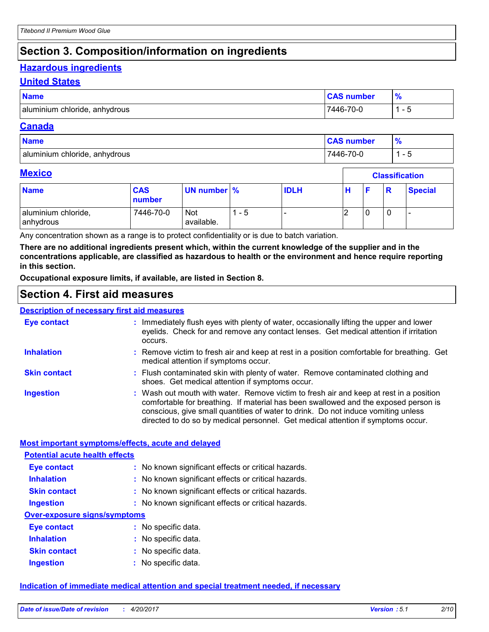## **Section 3. Composition/information on ingredients**

## **Hazardous ingredients**

#### **United States**

| <b>Name</b>                   | <b>CAS number</b> | 70 |
|-------------------------------|-------------------|----|
| aluminium chloride, anhydrous | 7446-70-0         |    |

#### **Canada**

| <b>Name</b>                   | <b>CAS number</b> | 70 |
|-------------------------------|-------------------|----|
| aluminium chloride, anhydrous | 7446-70-0         | -  |

 $\overline{\Gamma}$ 

#### **Mexico**

| <b>Mexico</b>                    |                      |                          |     | <b>Classification</b> |   |  |   |                |
|----------------------------------|----------------------|--------------------------|-----|-----------------------|---|--|---|----------------|
| <b>Name</b>                      | <b>CAS</b><br>number | UN number %              |     | <b>IDLH</b>           | н |  | R | <b>Special</b> |
| aluminium chloride,<br>anhydrous | 7446-70-0            | <b>Not</b><br>available. | - 5 |                       |   |  | 0 |                |

Any concentration shown as a range is to protect confidentiality or is due to batch variation.

**There are no additional ingredients present which, within the current knowledge of the supplier and in the concentrations applicable, are classified as hazardous to health or the environment and hence require reporting in this section.**

**Occupational exposure limits, if available, are listed in Section 8.**

## **Section 4. First aid measures**

#### **Description of necessary first aid measures**

| <b>Eye contact</b>  | : Immediately flush eyes with plenty of water, occasionally lifting the upper and lower<br>eyelids. Check for and remove any contact lenses. Get medical attention if irritation<br>occurs.                                                                                                                                                            |
|---------------------|--------------------------------------------------------------------------------------------------------------------------------------------------------------------------------------------------------------------------------------------------------------------------------------------------------------------------------------------------------|
| <b>Inhalation</b>   | : Remove victim to fresh air and keep at rest in a position comfortable for breathing. Get<br>medical attention if symptoms occur.                                                                                                                                                                                                                     |
| <b>Skin contact</b> | : Flush contaminated skin with plenty of water. Remove contaminated clothing and<br>shoes. Get medical attention if symptoms occur.                                                                                                                                                                                                                    |
| <b>Ingestion</b>    | : Wash out mouth with water. Remove victim to fresh air and keep at rest in a position<br>comfortable for breathing. If material has been swallowed and the exposed person is<br>conscious, give small quantities of water to drink. Do not induce vomiting unless<br>directed to do so by medical personnel. Get medical attention if symptoms occur. |

#### **Most important symptoms/effects, acute and delayed**

| <b>Potential acute health effects</b> |                                                     |
|---------------------------------------|-----------------------------------------------------|
| Eye contact                           | : No known significant effects or critical hazards. |
| <b>Inhalation</b>                     | : No known significant effects or critical hazards. |
| <b>Skin contact</b>                   | : No known significant effects or critical hazards. |
| <b>Ingestion</b>                      | : No known significant effects or critical hazards. |
| Over-exposure signs/symptoms          |                                                     |
| Eye contact                           | : No specific data.                                 |
| <b>Inhalation</b>                     | : No specific data.                                 |
| <b>Skin contact</b>                   | : No specific data.                                 |
| <b>Ingestion</b>                      | : No specific data.                                 |

#### **Indication of immediate medical attention and special treatment needed, if necessary**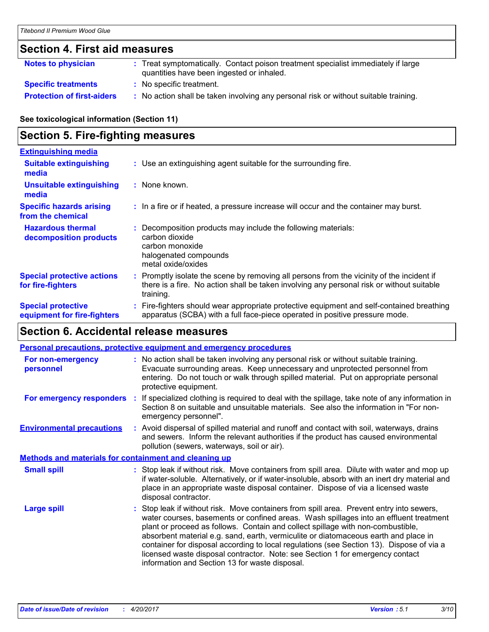## **Section 4. First aid measures**

| Notes to physician                | : Treat symptomatically. Contact poison treatment specialist immediately if large<br>quantities have been ingested or inhaled. |
|-----------------------------------|--------------------------------------------------------------------------------------------------------------------------------|
| <b>Specific treatments</b>        | : No specific treatment.                                                                                                       |
| <b>Protection of first-aiders</b> | : No action shall be taken involving any personal risk or without suitable training.                                           |

**See toxicological information (Section 11)**

## **Section 5. Fire-fighting measures**

| <b>Extinguishing media</b>                               |                                                                                                                                                                                                     |
|----------------------------------------------------------|-----------------------------------------------------------------------------------------------------------------------------------------------------------------------------------------------------|
| <b>Suitable extinguishing</b><br>media                   | : Use an extinguishing agent suitable for the surrounding fire.                                                                                                                                     |
| <b>Unsuitable extinguishing</b><br>media                 | : None known.                                                                                                                                                                                       |
| <b>Specific hazards arising</b><br>from the chemical     | : In a fire or if heated, a pressure increase will occur and the container may burst.                                                                                                               |
| <b>Hazardous thermal</b><br>decomposition products       | : Decomposition products may include the following materials:<br>carbon dioxide<br>carbon monoxide<br>halogenated compounds<br>metal oxide/oxides                                                   |
| <b>Special protective actions</b><br>for fire-fighters   | : Promptly isolate the scene by removing all persons from the vicinity of the incident if<br>there is a fire. No action shall be taken involving any personal risk or without suitable<br>training. |
| <b>Special protective</b><br>equipment for fire-fighters | : Fire-fighters should wear appropriate protective equipment and self-contained breathing<br>apparatus (SCBA) with a full face-piece operated in positive pressure mode.                            |

## **Section 6. Accidental release measures**

|                                                              | <b>Personal precautions, protective equipment and emergency procedures</b>                                                                                                                                                                                                                                                                                                                                                                                                                                                                                                                 |
|--------------------------------------------------------------|--------------------------------------------------------------------------------------------------------------------------------------------------------------------------------------------------------------------------------------------------------------------------------------------------------------------------------------------------------------------------------------------------------------------------------------------------------------------------------------------------------------------------------------------------------------------------------------------|
| For non-emergency<br>personnel                               | : No action shall be taken involving any personal risk or without suitable training.<br>Evacuate surrounding areas. Keep unnecessary and unprotected personnel from<br>entering. Do not touch or walk through spilled material. Put on appropriate personal<br>protective equipment.                                                                                                                                                                                                                                                                                                       |
|                                                              | For emergency responders : If specialized clothing is required to deal with the spillage, take note of any information in<br>Section 8 on suitable and unsuitable materials. See also the information in "For non-<br>emergency personnel".                                                                                                                                                                                                                                                                                                                                                |
| <b>Environmental precautions</b>                             | : Avoid dispersal of spilled material and runoff and contact with soil, waterways, drains<br>and sewers. Inform the relevant authorities if the product has caused environmental<br>pollution (sewers, waterways, soil or air).                                                                                                                                                                                                                                                                                                                                                            |
| <b>Methods and materials for containment and cleaning up</b> |                                                                                                                                                                                                                                                                                                                                                                                                                                                                                                                                                                                            |
| <b>Small spill</b>                                           | : Stop leak if without risk. Move containers from spill area. Dilute with water and mop up<br>if water-soluble. Alternatively, or if water-insoluble, absorb with an inert dry material and<br>place in an appropriate waste disposal container. Dispose of via a licensed waste<br>disposal contractor.                                                                                                                                                                                                                                                                                   |
| <b>Large spill</b>                                           | : Stop leak if without risk. Move containers from spill area. Prevent entry into sewers,<br>water courses, basements or confined areas. Wash spillages into an effluent treatment<br>plant or proceed as follows. Contain and collect spillage with non-combustible,<br>absorbent material e.g. sand, earth, vermiculite or diatomaceous earth and place in<br>container for disposal according to local regulations (see Section 13). Dispose of via a<br>licensed waste disposal contractor. Note: see Section 1 for emergency contact<br>information and Section 13 for waste disposal. |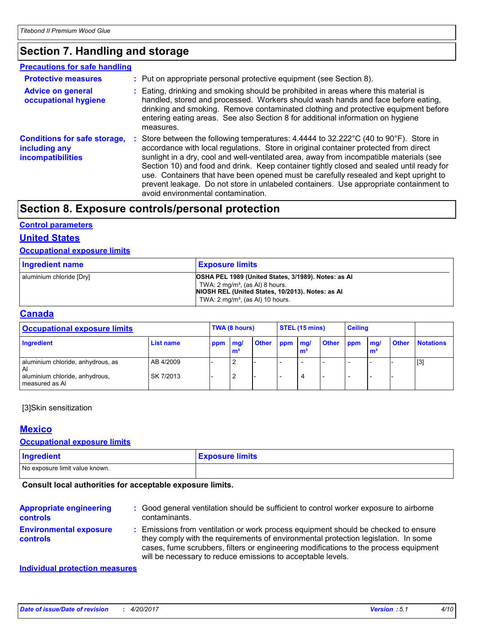## **Section 7. Handling and storage**

| <b>Precautions for safe handling</b>                                             |                                                                                                                                                                                                                                                                                                                                                                                                                                                                                                                                                                                                                |
|----------------------------------------------------------------------------------|----------------------------------------------------------------------------------------------------------------------------------------------------------------------------------------------------------------------------------------------------------------------------------------------------------------------------------------------------------------------------------------------------------------------------------------------------------------------------------------------------------------------------------------------------------------------------------------------------------------|
| <b>Protective measures</b>                                                       | : Put on appropriate personal protective equipment (see Section 8).                                                                                                                                                                                                                                                                                                                                                                                                                                                                                                                                            |
| <b>Advice on general</b><br>occupational hygiene                                 | : Eating, drinking and smoking should be prohibited in areas where this material is<br>handled, stored and processed. Workers should wash hands and face before eating,<br>drinking and smoking. Remove contaminated clothing and protective equipment before<br>entering eating areas. See also Section 8 for additional information on hygiene<br>measures.                                                                                                                                                                                                                                                  |
| <b>Conditions for safe storage,</b><br>including any<br><b>incompatibilities</b> | Store between the following temperatures: $4.4444$ to $32.222^{\circ}C$ (40 to $90^{\circ}F$ ). Store in<br>accordance with local regulations. Store in original container protected from direct<br>sunlight in a dry, cool and well-ventilated area, away from incompatible materials (see<br>Section 10) and food and drink. Keep container tightly closed and sealed until ready for<br>use. Containers that have been opened must be carefully resealed and kept upright to<br>prevent leakage. Do not store in unlabeled containers. Use appropriate containment to<br>avoid environmental contamination. |

## **Section 8. Exposure controls/personal protection**

#### **Control parameters**

### **United States**

### **Occupational exposure limits**

| <b>Ingredient name</b>   | <b>Exposure limits</b>                                                                                                                                                                               |
|--------------------------|------------------------------------------------------------------------------------------------------------------------------------------------------------------------------------------------------|
| aluminium chloride [Dry] | OSHA PEL 1989 (United States, 3/1989). Notes: as AI<br>TWA: $2 \text{ mq/m}^3$ , (as AI) 8 hours.<br>NIOSH REL (United States, 10/2013). Notes: as Al<br>TWA: $2 \text{ mq/m}^3$ , (as AI) 10 hours. |

#### **Canada**

| <b>Occupational exposure limits</b>              |           | TWA (8 hours) |   | STEL (15 mins) |         | <b>Ceiling</b> |              |     |                                           |              |                  |
|--------------------------------------------------|-----------|---------------|---|----------------|---------|----------------|--------------|-----|-------------------------------------------|--------------|------------------|
| Ingredient                                       | List name | ppm mg/       | m | <b>Other</b>   | ppm mg/ | m              | <b>Other</b> | ppm | $\mathsf{m}\mathsf{q}/$<br>m <sup>2</sup> | <b>Other</b> | <b>Notations</b> |
| aluminium chloride, anhydrous, as<br>Al          | AB 4/2009 |               |   |                |         |                |              |     |                                           |              | $[3]$            |
| aluminium chloride, anhydrous,<br>measured as AI | SK 7/2013 |               |   |                |         | 4              |              |     |                                           |              |                  |

#### [3]Skin sensitization

#### **Mexico**

#### **Occupational exposure limits**

| Ingredient                     | <b>Exposure limits</b> |
|--------------------------------|------------------------|
| No exposure limit value known. |                        |

#### **Consult local authorities for acceptable exposure limits.**

| <b>Appropriate engineering</b><br><b>controls</b> | : Good general ventilation should be sufficient to control worker exposure to airborne<br>contaminants.                                                                                                                                                                                                                         |
|---------------------------------------------------|---------------------------------------------------------------------------------------------------------------------------------------------------------------------------------------------------------------------------------------------------------------------------------------------------------------------------------|
| <b>Environmental exposure</b><br><b>controls</b>  | : Emissions from ventilation or work process equipment should be checked to ensure<br>they comply with the requirements of environmental protection legislation. In some<br>cases, fume scrubbers, filters or engineering modifications to the process equipment<br>will be necessary to reduce emissions to acceptable levels. |

#### **Individual protection measures**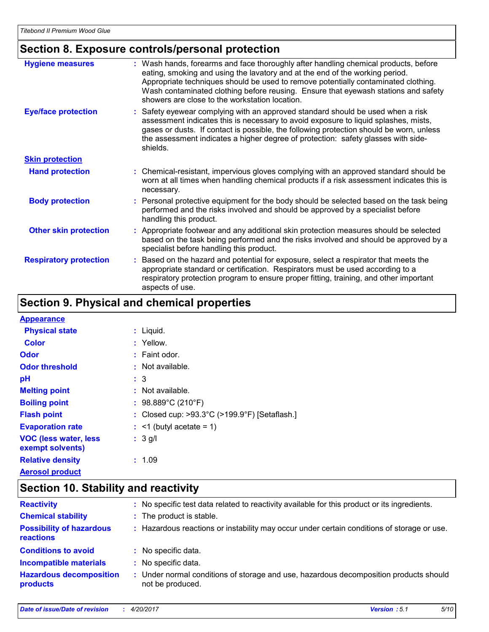#### **Section 8. Exposure controls/personal protection Hand protection** Based on the hazard and potential for exposure, select a respirator that meets the appropriate standard or certification. Respirators must be used according to a respiratory protection program to ensure proper fitting, training, and other important aspects of use. Chemical-resistant, impervious gloves complying with an approved standard should be **:** worn at all times when handling chemical products if a risk assessment indicates this is necessary. Safety eyewear complying with an approved standard should be used when a risk **:** assessment indicates this is necessary to avoid exposure to liquid splashes, mists, gases or dusts. If contact is possible, the following protection should be worn, unless the assessment indicates a higher degree of protection: safety glasses with sideshields. **Eye/face protection Respiratory protection : Body protection** : Personal protective equipment for the body should be selected based on the task being in the task being in the task being in the task being in the task being in the task being in the task being in the t performed and the risks involved and should be approved by a specialist before handling this product. Wash hands, forearms and face thoroughly after handling chemical products, before eating, smoking and using the lavatory and at the end of the working period. Appropriate techniques should be used to remove potentially contaminated clothing. Wash contaminated clothing before reusing. Ensure that eyewash stations and safety showers are close to the workstation location. **Hygiene measures : Skin protection Other skin protection :** Appropriate footwear and any additional skin protection measures should be selected based on the task being performed and the risks involved and should be approved by a specialist before handling this product.

## **Section 9. Physical and chemical properties**

#### **Physical state Melting point Relative density** Liquid. **: :** Not available. 1.09 **: Odor** : Faint odor. **pH Color** : Yellow. **Evaporation rate Flash point** Closed cup: >93.3°C (>199.9°F) [Setaflash.] **:** 3 **Odor threshold :** Not available. **:** <1 (butyl acetate = 1) **: Appearance Boiling point :** 98.889°C (210°F) **Aerosol product VOC (less water, less exempt solvents) :** 3 g/l

#### **Section 10. Stability and reactivity Hazardous decomposition products Conditions to avoid** : No specific data. Under normal conditions of storage and use, hazardous decomposition products should **:** not be produced. **Chemical stability :** The product is stable. : No specific data. **Incompatible materials : Possibility of hazardous reactions :** Hazardous reactions or instability may occur under certain conditions of storage or use. **Reactivity :** No specific test data related to reactivity available for this product or its ingredients.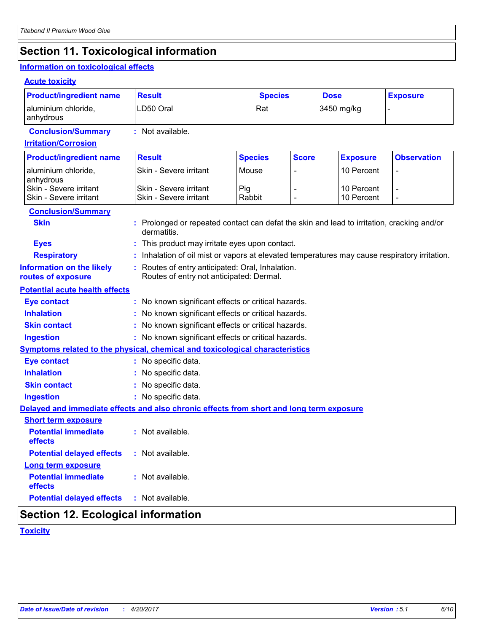## **Section 11. Toxicological information**

## **Information on toxicological effects**

#### **Acute toxicity**

| <b>Product/ingredient name</b>                                                           | <b>Result</b>                                                                                             |                | <b>Species</b> |  | <b>Dose</b>     | <b>Exposure</b>          |  |
|------------------------------------------------------------------------------------------|-----------------------------------------------------------------------------------------------------------|----------------|----------------|--|-----------------|--------------------------|--|
| aluminium chloride,<br>anhydrous                                                         | LD50 Oral                                                                                                 | Rat            |                |  | 3450 mg/kg      |                          |  |
| <b>Conclusion/Summary</b>                                                                | : Not available.                                                                                          |                |                |  |                 |                          |  |
| <b>Irritation/Corrosion</b>                                                              |                                                                                                           |                |                |  |                 |                          |  |
| <b>Product/ingredient name</b>                                                           | <b>Result</b>                                                                                             | <b>Species</b> | <b>Score</b>   |  | <b>Exposure</b> | <b>Observation</b>       |  |
| aluminium chloride,<br>anhydrous                                                         | Skin - Severe irritant                                                                                    | Mouse          |                |  | 10 Percent      | $\blacksquare$           |  |
| Skin - Severe irritant                                                                   | Skin - Severe irritant                                                                                    | Pig            |                |  | 10 Percent      | $\overline{\phantom{a}}$ |  |
| Skin - Severe irritant                                                                   | Skin - Severe irritant                                                                                    | Rabbit         |                |  | 10 Percent      | $\overline{\phantom{a}}$ |  |
| <b>Conclusion/Summary</b>                                                                |                                                                                                           |                |                |  |                 |                          |  |
| <b>Skin</b>                                                                              | : Prolonged or repeated contact can defat the skin and lead to irritation, cracking and/or<br>dermatitis. |                |                |  |                 |                          |  |
| <b>Eyes</b>                                                                              | : This product may irritate eyes upon contact.                                                            |                |                |  |                 |                          |  |
| <b>Respiratory</b>                                                                       | : Inhalation of oil mist or vapors at elevated temperatures may cause respiratory irritation.             |                |                |  |                 |                          |  |
| <b>Information on the likely</b><br>routes of exposure                                   | : Routes of entry anticipated: Oral, Inhalation.<br>Routes of entry not anticipated: Dermal.              |                |                |  |                 |                          |  |
| <b>Potential acute health effects</b>                                                    |                                                                                                           |                |                |  |                 |                          |  |
| <b>Eye contact</b>                                                                       | : No known significant effects or critical hazards.                                                       |                |                |  |                 |                          |  |
| <b>Inhalation</b>                                                                        | : No known significant effects or critical hazards.                                                       |                |                |  |                 |                          |  |
| <b>Skin contact</b>                                                                      | : No known significant effects or critical hazards.                                                       |                |                |  |                 |                          |  |
| <b>Ingestion</b>                                                                         | : No known significant effects or critical hazards.                                                       |                |                |  |                 |                          |  |
| Symptoms related to the physical, chemical and toxicological characteristics             |                                                                                                           |                |                |  |                 |                          |  |
| <b>Eye contact</b>                                                                       | : No specific data.                                                                                       |                |                |  |                 |                          |  |
| <b>Inhalation</b>                                                                        | : No specific data.                                                                                       |                |                |  |                 |                          |  |
| <b>Skin contact</b>                                                                      | : No specific data.                                                                                       |                |                |  |                 |                          |  |
| <b>Ingestion</b>                                                                         | : No specific data.                                                                                       |                |                |  |                 |                          |  |
| Delayed and immediate effects and also chronic effects from short and long term exposure |                                                                                                           |                |                |  |                 |                          |  |
| <b>Short term exposure</b>                                                               |                                                                                                           |                |                |  |                 |                          |  |
| <b>Potential immediate</b><br>effects                                                    | : Not available.                                                                                          |                |                |  |                 |                          |  |
| <b>Potential delayed effects</b>                                                         | : Not available.                                                                                          |                |                |  |                 |                          |  |
| Long term exposure                                                                       |                                                                                                           |                |                |  |                 |                          |  |
| <b>Potential immediate</b><br>effects                                                    | : Not available.                                                                                          |                |                |  |                 |                          |  |
| <b>Potential delayed effects</b>                                                         | : Not available.                                                                                          |                |                |  |                 |                          |  |
|                                                                                          |                                                                                                           |                |                |  |                 |                          |  |

## **Section 12. Ecological information**

## **Toxicity**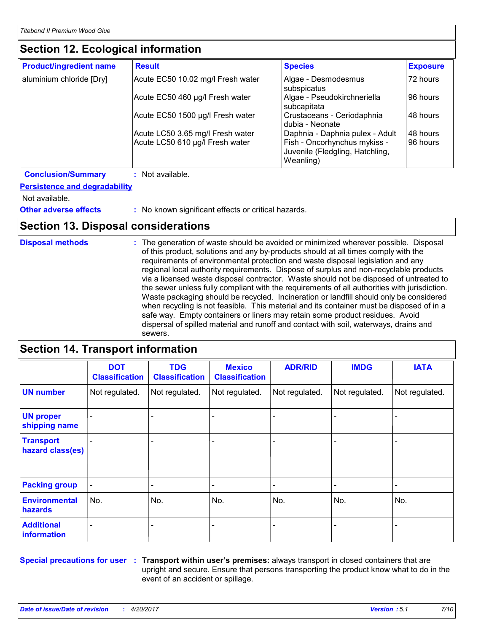## **Section 12. Ecological information**

| <b>Product/ingredient name</b> | <b>Result</b>                                                       | <b>Species</b>                                                                                                  | <b>Exposure</b>      |
|--------------------------------|---------------------------------------------------------------------|-----------------------------------------------------------------------------------------------------------------|----------------------|
| aluminium chloride [Dry]       | Acute EC50 10.02 mg/l Fresh water                                   | Algae - Desmodesmus<br>subspicatus                                                                              | 72 hours             |
|                                | Acute EC50 460 µg/l Fresh water                                     | Algae - Pseudokirchneriella<br>subcapitata                                                                      | 96 hours             |
|                                | Acute EC50 1500 µg/l Fresh water                                    | Crustaceans - Ceriodaphnia<br>dubia - Neonate                                                                   | 48 hours             |
|                                | Acute LC50 3.65 mg/l Fresh water<br>Acute LC50 610 µg/l Fresh water | Daphnia - Daphnia pulex - Adult<br>Fish - Oncorhynchus mykiss -<br>Juvenile (Fledgling, Hatchling,<br>Weanling) | 48 hours<br>96 hours |

**Conclusion/Summary :** Not available.

#### **Persistence and degradability**

Not available.

**Other adverse effects** : No known significant effects or critical hazards.

-

## **Section 13. Disposal considerations**

**Disposal methods :**

The generation of waste should be avoided or minimized wherever possible. Disposal of this product, solutions and any by-products should at all times comply with the requirements of environmental protection and waste disposal legislation and any regional local authority requirements. Dispose of surplus and non-recyclable products via a licensed waste disposal contractor. Waste should not be disposed of untreated to the sewer unless fully compliant with the requirements of all authorities with jurisdiction. Waste packaging should be recycled. Incineration or landfill should only be considered when recycling is not feasible. This material and its container must be disposed of in a safe way. Empty containers or liners may retain some product residues. Avoid dispersal of spilled material and runoff and contact with soil, waterways, drains and sewers.

#### **Section 14. Transport information** - - - - - - Not regulated. - - Not regulated. | Not regulated. | Not regulated. | Not regulated. | Not regulated. | N **DOT Classification IMDG IATA UN number UN proper shipping name Transport hazard class(es) Packing group Additional**  Environmental | No. **hazards** No. No. No. **TDG Classification** - - No. **ADR/RID** Not regulated. Not regulated. - - No. **Mexico Classification** Not regulated. - - No.

- - -

-

**information**

**Special precautions for user** : Transport within user's premises: always transport in closed containers that are upright and secure. Ensure that persons transporting the product know what to do in the event of an accident or spillage.

-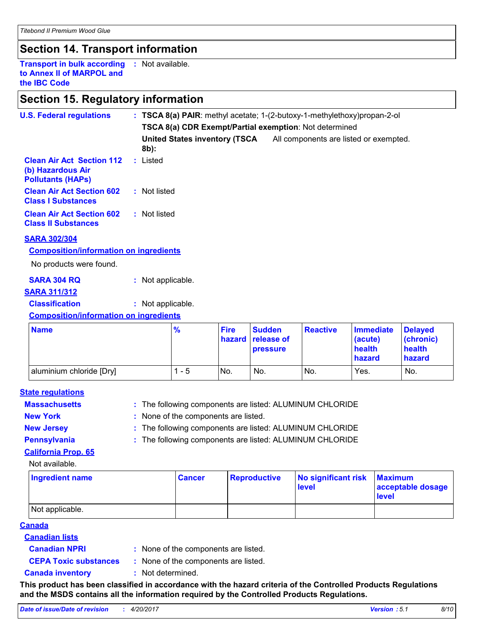## **Section 14. Transport information**

**Transport in bulk according :** Not available. **to Annex II of MARPOL and the IBC Code**

## **Section 15. Regulatory information**

| <b>U.S. Federal regulations</b>                                                   |                   | : TSCA 8(a) PAIR: methyl acetate; 1-(2-butoxy-1-methylethoxy) propan-2-ol |             |                                    |                 |                                        |                             |  |  |  |  |
|-----------------------------------------------------------------------------------|-------------------|---------------------------------------------------------------------------|-------------|------------------------------------|-----------------|----------------------------------------|-----------------------------|--|--|--|--|
|                                                                                   |                   | TSCA 8(a) CDR Exempt/Partial exemption: Not determined                    |             |                                    |                 |                                        |                             |  |  |  |  |
|                                                                                   | 8b):              | <b>United States inventory (TSCA</b>                                      |             |                                    |                 | All components are listed or exempted. |                             |  |  |  |  |
| <b>Clean Air Act Section 112</b><br>(b) Hazardous Air<br><b>Pollutants (HAPS)</b> | : Listed          |                                                                           |             |                                    |                 |                                        |                             |  |  |  |  |
| <b>Clean Air Act Section 602</b><br><b>Class I Substances</b>                     | : Not listed      |                                                                           |             |                                    |                 |                                        |                             |  |  |  |  |
| <b>Clean Air Act Section 602</b><br><b>Class II Substances</b>                    | : Not listed      |                                                                           |             |                                    |                 |                                        |                             |  |  |  |  |
| <b>SARA 302/304</b>                                                               |                   |                                                                           |             |                                    |                 |                                        |                             |  |  |  |  |
| <b>Composition/information on ingredients</b>                                     |                   |                                                                           |             |                                    |                 |                                        |                             |  |  |  |  |
| No products were found.                                                           |                   |                                                                           |             |                                    |                 |                                        |                             |  |  |  |  |
| <b>SARA 304 RQ</b>                                                                | : Not applicable. |                                                                           |             |                                    |                 |                                        |                             |  |  |  |  |
| <b>SARA 311/312</b>                                                               |                   |                                                                           |             |                                    |                 |                                        |                             |  |  |  |  |
| <b>Classification</b>                                                             | : Not applicable. |                                                                           |             |                                    |                 |                                        |                             |  |  |  |  |
| <b>Composition/information on ingredients</b>                                     |                   |                                                                           |             |                                    |                 |                                        |                             |  |  |  |  |
| <b>Name</b>                                                                       |                   | $\frac{9}{6}$                                                             | <b>Fire</b> | <b>Sudden</b><br>hazard release of | <b>Reactive</b> | <b>Immediate</b><br>$ $ acute)         | <b>Delayed</b><br>(chronic) |  |  |  |  |

| <b>Name</b>              | $\frac{9}{6}$ | <b>Fire</b> | Sudden<br><b>hazard release of</b><br><b>pressure</b> | <b>Reactive</b> | Immediate<br>(acute)<br>health<br>hazard | <b>Delayed</b><br>(chronic)<br>health<br>hazard |
|--------------------------|---------------|-------------|-------------------------------------------------------|-----------------|------------------------------------------|-------------------------------------------------|
| aluminium chloride [Dry] | 1 - 5         | No.         | No.                                                   | No.             | Yes.                                     | No.                                             |

#### **State regulations**

- **Massachusetts**  $\cdot$  **The following components are listed: ALUMINUM CHLORIDE**
- **New York :** None of the components are listed.

**New Jersey :** The following components are listed: ALUMINUM CHLORIDE

Not available.

**Pennsylvania :** The following components are listed: ALUMINUM CHLORIDE

## **California Prop. 65**

| Ingredient name | <b>Cancer</b> | Reproductive | No significant risk<br>level | <b>Maximum</b><br>acceptable dosage<br>level |
|-----------------|---------------|--------------|------------------------------|----------------------------------------------|
| Not applicable. |               |              |                              |                                              |

#### **Canada**

**Canadian lists**

**Canadian NPRI :**

: None of the components are listed.

**CEPA Toxic substances :** None of the components are listed.

**Canada inventory :** Not determined.

**This product has been classified in accordance with the hazard criteria of the Controlled Products Regulations and the MSDS contains all the information required by the Controlled Products Regulations.**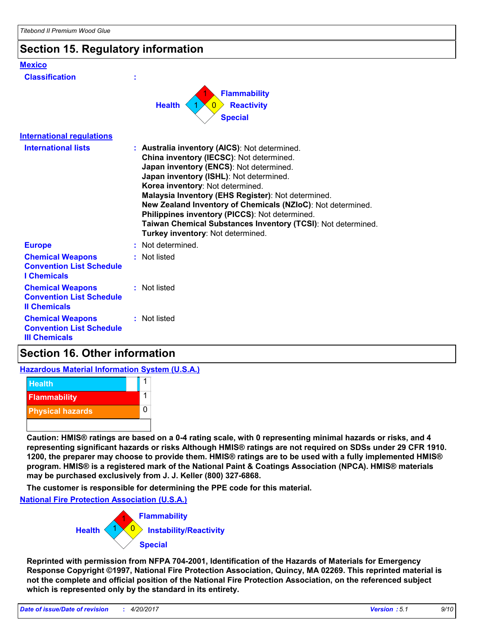| Section 15. Regulatory information                                                 |                                                                                                                                                                                                                                                                                                                                                                                                                                                                                                 |
|------------------------------------------------------------------------------------|-------------------------------------------------------------------------------------------------------------------------------------------------------------------------------------------------------------------------------------------------------------------------------------------------------------------------------------------------------------------------------------------------------------------------------------------------------------------------------------------------|
| <b>Mexico</b><br><b>Classification</b>                                             |                                                                                                                                                                                                                                                                                                                                                                                                                                                                                                 |
|                                                                                    | <b>Flammability</b><br><b>Health</b><br><b>Reactivity</b><br>$\Omega$<br><b>Special</b>                                                                                                                                                                                                                                                                                                                                                                                                         |
| <b>International regulations</b>                                                   |                                                                                                                                                                                                                                                                                                                                                                                                                                                                                                 |
| <b>International lists</b>                                                         | : Australia inventory (AICS): Not determined.<br>China inventory (IECSC): Not determined.<br>Japan inventory (ENCS): Not determined.<br>Japan inventory (ISHL): Not determined.<br>Korea inventory: Not determined.<br>Malaysia Inventory (EHS Register): Not determined.<br>New Zealand Inventory of Chemicals (NZIoC): Not determined.<br>Philippines inventory (PICCS): Not determined.<br>Taiwan Chemical Substances Inventory (TCSI): Not determined.<br>Turkey inventory: Not determined. |
| <b>Europe</b>                                                                      | Not determined.                                                                                                                                                                                                                                                                                                                                                                                                                                                                                 |
| <b>Chemical Weapons</b><br><b>Convention List Schedule</b><br><b>I</b> Chemicals   | Not listed                                                                                                                                                                                                                                                                                                                                                                                                                                                                                      |
| <b>Chemical Weapons</b><br><b>Convention List Schedule</b><br><b>Il Chemicals</b>  | : Not listed                                                                                                                                                                                                                                                                                                                                                                                                                                                                                    |
| <b>Chemical Weapons</b><br><b>Convention List Schedule</b><br><b>III Chemicals</b> | : Not listed                                                                                                                                                                                                                                                                                                                                                                                                                                                                                    |

## **Section 16. Other information**

**Hazardous Material Information System (U.S.A.)**



**Caution: HMIS® ratings are based on a 0-4 rating scale, with 0 representing minimal hazards or risks, and 4 representing significant hazards or risks Although HMIS® ratings are not required on SDSs under 29 CFR 1910. 1200, the preparer may choose to provide them. HMIS® ratings are to be used with a fully implemented HMIS® program. HMIS® is a registered mark of the National Paint & Coatings Association (NPCA). HMIS® materials may be purchased exclusively from J. J. Keller (800) 327-6868.**

**The customer is responsible for determining the PPE code for this material.**

**National Fire Protection Association (U.S.A.)**



**Reprinted with permission from NFPA 704-2001, Identification of the Hazards of Materials for Emergency Response Copyright ©1997, National Fire Protection Association, Quincy, MA 02269. This reprinted material is not the complete and official position of the National Fire Protection Association, on the referenced subject which is represented only by the standard in its entirety.**